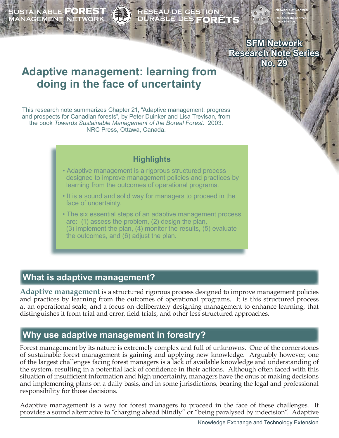SUSTAINABLE **FOREST**<br>JANAGEMENT NETWORK



**SFM Network Research Note Series No. 29**

# **Adaptive management: learning from doing in the face of uncertainty**

This research note summarizes Chapter 21, "Adaptive management: progress and prospects for Canadian forests", by Peter Duinker and Lisa Trevisan, from the book *Towards Sustainable Management of the Boreal Forest.* 2003. NRC Press, Ottawa, Canada.

### **Highlights**

- Adaptive management is a rigorous structured process designed to improve management policies and practices by learning from the outcomes of operational programs.
- It is a sound and solid way for managers to proceed in the face of uncertainty.
- The six essential steps of an adaptive management process are: (1) assess the problem, (2) design the plan, (3) implement the plan, (4) monitor the results, (5) evaluate the outcomes, and (6) adjust the plan.

# **What is adaptive management?**

**Adaptive management** is a structured rigorous process designed to improve management policies and practices by learning from the outcomes of operational programs. It is this structured process at an operational scale, and a focus on deliberately designing management to enhance learning, that distinguishes it from trial and error, field trials, and other less structured approaches.

# **Why use adaptive management in forestry?**

Forest management by its nature is extremely complex and full of unknowns. One of the cornerstones of sustainable forest management is gaining and applying new knowledge. Arguably however, one of the largest challenges facing forest managers is a lack of available knowledge and understanding of the system, resulting in a potential lack of confidence in their actions. Although often faced with this situation of insufficient information and high uncertainty, managers have the onus of making decisions and implementing plans on a daily basis, and in some jurisdictions, bearing the legal and professional responsibility for those decisions.

Adaptive management is a way for forest managers to proceed in the face of these challenges. It provides a sound alternative to "charging ahead blindly" or "being paralysed by indecision". Adaptive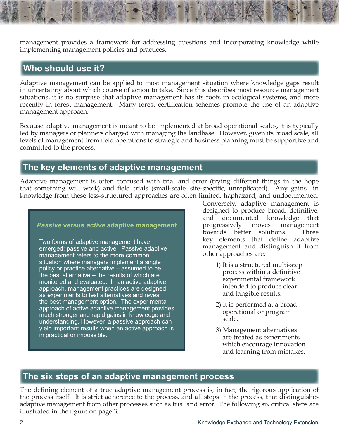management provides a framework for addressing questions and incorporating knowledge while implementing management policies and practices.

# **Who should use it?**

Adaptive management can be applied to most management situation where knowledge gaps result in uncertainty about which course of action to take. Since this describes most resource management situations, it is no surprise that adaptive management has its roots in ecological systems, and more recently in forest management. Many forest certification schemes promote the use of an adaptive management approach.

Because adaptive management is meant to be implemented at broad operational scales, it is typically led by managers or planners charged with managing the landbase. However, given its broad scale, all levels of management from field operations to strategic and business planning must be supportive and committed to the process.

# **The key elements of adaptive management**

Adaptive management is often confused with trial and error (trying different things in the hope that something will work) and field trials (small-scale, site-specific, unreplicated). Any gains in knowledge from these less-structured approaches are often limited, haphazard, and undocumented.

#### *Passive* **versus** *active* **adaptive management**

Two forms of adaptive management have emerged: passive and active. Passive adaptive management refers to the more common situation where managers implement a single policy or practice alternative – assumed to be the best alternative – the results of which are monitored and evaluated. In an active adaptive approach, management practices are designed as experiments to test alternatives and reveal the best management option. The experimental approach of active adaptive management provides much stronger and rapid gains in knowledge and understanding. However, a passive approach can yield important results when an active approach is impractical or impossible.

Conversely, adaptive management is designed to produce broad, definitive, and documented knowledge that progressively moves management towards better solutions. Three key elements that define adaptive management and distinguish it from other approaches are:

- 1) It is a structured multi-step process within a definitive experimental framework intended to produce clear and tangible results.
- 2) It is performed at a broad operational or program scale.
- 3) Management alternatives are treated as experiments which encourage innovation and learning from mistakes.

# **The six steps of an adaptive management process**

The defining element of a true adaptive management process is, in fact, the rigorous application of the process itself. It is strict adherence to the process, and all steps in the process, that distinguishes adaptive management from other processes such as trial and error. The following six critical steps are illustrated in the figure on page 3.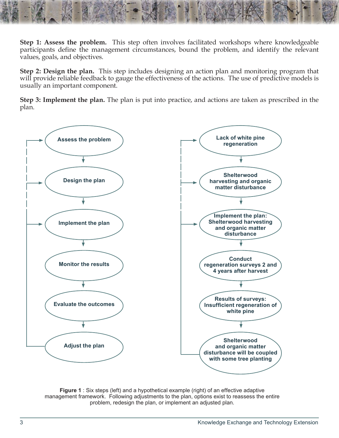**Step 1: Assess the problem.** This step often involves facilitated workshops where knowledgeable participants define the management circumstances, bound the problem, and identify the relevant values, goals, and objectives.

**Step 2: Design the plan.** This step includes designing an action plan and monitoring program that will provide reliable feedback to gauge the effectiveness of the actions. The use of predictive models is usually an important component.

**Step 3: Implement the plan.** The plan is put into practice, and actions are taken as prescribed in the plan.



**Figure 1** : Six steps (left) and a hypothetical example (right) of an effective adaptive management framework. Following adjustments to the plan, options exist to reassess the entire problem, redesign the plan, or implement an adjusted plan.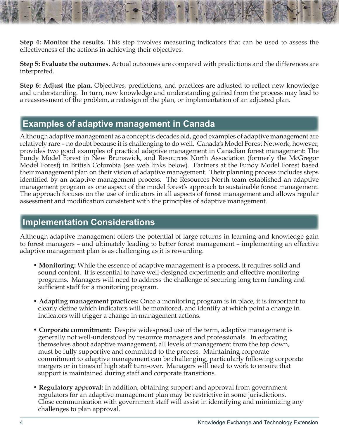**Step 4: Monitor the results.** This step involves measuring indicators that can be used to assess the effectiveness of the actions in achieving their objectives.

**Step 5: Evaluate the outcomes.** Actual outcomes are compared with predictions and the differences are interpreted.

**Step 6: Adjust the plan.** Objectives, predictions, and practices are adjusted to reflect new knowledge and understanding. In turn, new knowledge and understanding gained from the process may lead to a reassessment of the problem, a redesign of the plan, or implementation of an adjusted plan.

### **Examples of adaptive management in Canada**

Although adaptive management as a concept is decades old, good examples of adaptive management are relatively rare – no doubt because it is challenging to do well. Canada's Model Forest Network, however, provides two good examples of practical adaptive management in Canadian forest management: The Fundy Model Forest in New Brunswick, and Resources North Association (formerly the McGregor Model Forest) in British Columbia (see web links below). Partners at the Fundy Model Forest based their management plan on their vision of adaptive management. Their planning process includes steps identified by an adaptive management process. The Resources North team established an adaptive management program as one aspect of the model forest's approach to sustainable forest management. The approach focuses on the use of indicators in all aspects of forest management and allows regular assessment and modification consistent with the principles of adaptive management.

### **Implementation Considerations**

Although adaptive management offers the potential of large returns in learning and knowledge gain to forest managers – and ultimately leading to better forest management – implementing an effective adaptive management plan is as challenging as it is rewarding.

- **Monitoring:** While the essence of adaptive management is a process, it requires solid and sound content. It is essential to have well-designed experiments and effective monitoring programs. Managers will need to address the challenge of securing long term funding and sufficient staff for a monitoring program.
- **Adapting management practices:** Once a monitoring program is in place, it is important to clearly define which indicators will be monitored, and identify at which point a change in indicators will trigger a change in management actions.
- **Corporate commitment:** Despite widespread use of the term, adaptive management is generally not well-understood by resource managers and professionals. In educating themselves about adaptive management, all levels of management from the top down, must be fully supportive and committed to the process. Maintaining corporate commitment to adaptive management can be challenging, particularly following corporate mergers or in times of high staff turn-over. Managers will need to work to ensure that support is maintained during staff and corporate transitions.
- **Regulatory approval:** In addition, obtaining support and approval from government regulators for an adaptive management plan may be restrictive in some jurisdictions. Close communication with government staff will assist in identifying and minimizing any challenges to plan approval.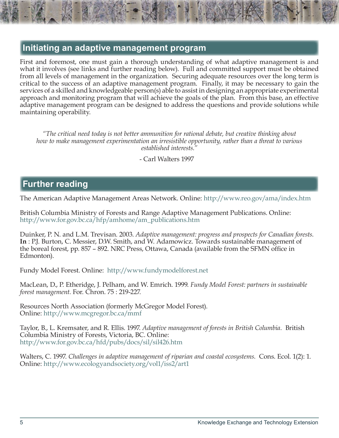### **Initiating an adaptive management program**

First and foremost, one must gain a thorough understanding of what adaptive management is and what it involves (see links and further reading below). Full and committed support must be obtained from all levels of management in the organization. Securing adequate resources over the long term is critical to the success of an adaptive management program. Finally, it may be necessary to gain the services of a skilled and knowledgeable person(s) able to assist in designing an appropriate experimental approach and monitoring program that will achieve the goals of the plan. From this base, an effective adaptive management program can be designed to address the questions and provide solutions while maintaining operability.

*"The critical need today is not better ammunition for rational debate, but creative thinking about how to make management experimentation an irresistible opportunity, rather than a threat to various established interests."*

- Carl Walters 1997

# **Further reading**

The American Adaptive Management Areas Network. Online:<http://www.reo.gov/ama/index.htm>

British Columbia Ministry of Forests and Range Adaptive Management Publications. Online: [http://www.for.gov.bc.ca/hfp/amhome/am\\_publications.htm](http://www.for.gov.bc.ca/hfp/amhome/am_publications.htm)

Duinker, P. N. and L.M. Trevisan. 2003. *Adaptive management: progress and prospects for Canadian forests.*  **In** : P.J. Burton, C. Messier, D.W. Smith, and W. Adamowicz. Towards sustainable management of the boreal forest, pp. 857 – 892. NRC Press, Ottawa, Canada (available from the SFMN office in Edmonton).

Fundy Model Forest. Online: <http://www.fundymodelforest.net>

MacLean, D., P. Etheridge, J. Pelham, and W. Emrich. 1999. *Fundy Model Forest: partners in sustainable forest management.* For. Chron. 75 : 219-227.

Resources North Association (formerly McGregor Model Forest). Online: <http://www.mcgregor.bc.ca/mmf>

Taylor, B., L. Kremsater, and R. Ellis. 1997. *Adaptive management of forests in British Columbia.* British Columbia Ministry of Forests, Victoria, BC. Online: <http://www.for.gov.bc.ca/hfd/pubs/docs/sil/sil426.htm>

Walters, C. 1997. *Challenges in adaptive management of riparian and coastal ecosystems.* Cons. Ecol. 1(2): 1. Online: <http://www.ecologyandsociety.org/vol1/iss2/art1>